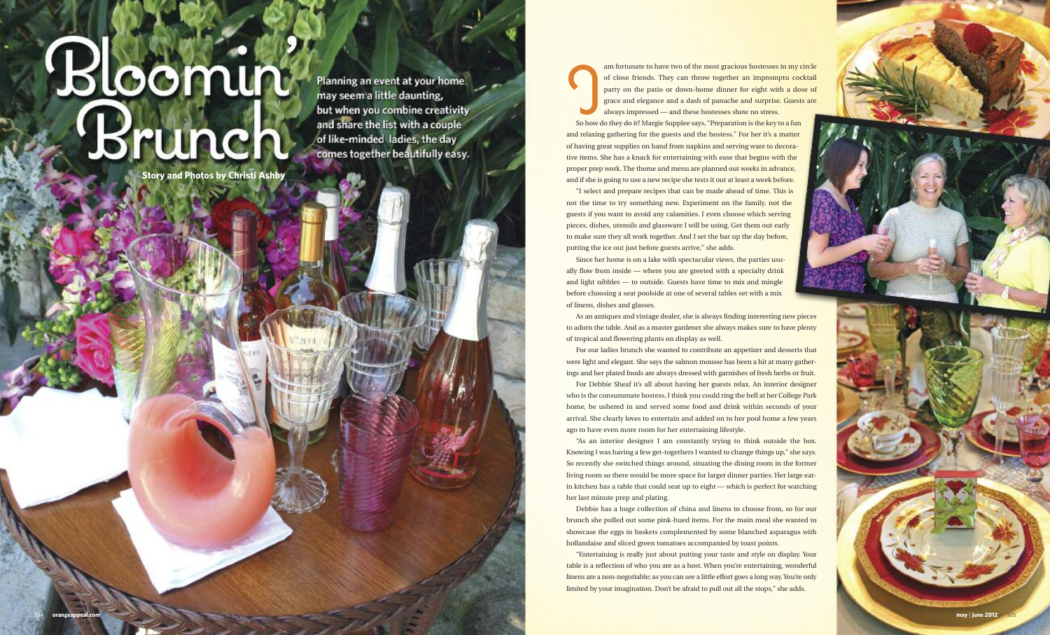# Bloomin Brunch

**Story and Photos by Christi Ashby** 

Planning an event at your home may seem a little daunting, but when you combine creativity and share the list with a couple of like-minded ladies, the day comes together beautifully easy.

So how d am fortunate to have two of the most gracious hostesses in my circle of close friends. They can throw together an impromptu cocktail party on the patio or down-home dinner for eight with a dose of grace and elegance and a dash of panache and surprise. Guests are always impressed — and these hostesses show no stress.

So how do they do it? Margie Supplee says, "Preparation is the key to a fun and relaxing gathering for the guests and the hostess." For her it's a matter of having great supplies on hand from napkins and serving ware to decorative items. She has a knack for entertaining with ease that begins with the proper prep work. The theme and menu are planned out weeks in advance, and if she is going to use a new recipe she tests it out at least a week before.

"I select and prepare recipes that can be made ahead of time. This is not the time to try something new. Experiment on the family, not the guests if you want to avoid any calamities. I even choose which serving pieces, dishes, utensils and glassware I will be using. Get them out early to make sure they all work together. And I set the bar up the day before, putting the ice out just before guests arrive," she adds.

 $\overline{O}$ 4

Since her home is on a lake with spectacular views, the parties usually flow from inside — where you are greeted with a specialty drink and light nibbles — to outside. Guests have time to mix and mingle before choosing a seat poolside at one of several tables set with a mix of linens, dishes and glasses.

As an antiques and vintage dealer, she is always finding interesting new pieces to adorn the table. And as a master gardener she always makes sure to have plenty of tropical and flowering plants on display as well.



For our ladies brunch she wanted to contribute an appetizer and desserts that were light and elegant. She says the salmon mousse has been a hit at many gatherings and her plated foods are always dressed with garnishes of fresh herbs or fruit. For Debbie Sheaf it's all about having her guests relax. An interior designer who is the consummate hostess, I think you could ring the bell at her College Park home, be ushered in and served some food and drink within seconds of your arrival. She clearly loves to entertain and added on to her pool home a few years

ago to have even more room for her entertaining lifestyle.

"As an interior designer I am constantly trying to think outside the box. Knowing I was having a few get-togethers I wanted to change things up," she says. So recently she switched things around, situating the dining room in the former living room so there would be more space for larger dinner parties. Her large eatin kitchen has a table that could seat up to eight — which is perfect for watching her last minute prep and plating.

Debbie has a huge collection of china and linens to choose from, so for our brunch she pulled out some pink-hued items. For the main meal she wanted to showcase the eggs in baskets complemented by some blanched asparagus with hollandaise and sliced green tomatoes accompanied by toast points.

"Entertaining is really just about putting your taste and style on display. Your table is a reflection of who you are as a host. When you're entertaining, wonderful linens are a non-negotiable; as you can see a little effort goes a long way. You're only limited by your imagination. Don't be afraid to pull out all the stops," she adds.

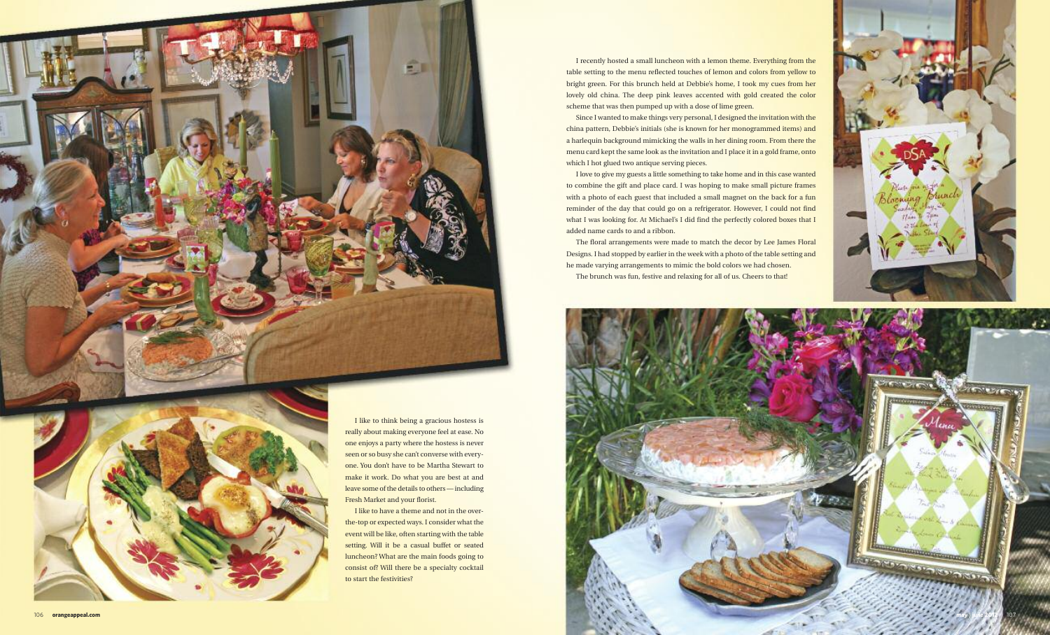





Since I wanted to make things very personal, I designed the invitation with the china pattern, Debbie's initials (she is known for her monogrammed items) and a harlequin background mimicking the walls in her dining room. From there the menu card kept the same look as the invitation and I place it in a gold frame, onto which I hot glued two antique serving pieces.

I recently hosted a small luncheon with a lemon theme. Everything from the table setting to the menu reflected touches of lemon and colors from yellow to bright green. For this brunch held at Debbie's home, I took my cues from her lovely old china. The deep pink leaves accented with gold created the color scheme that was then pumped up with a dose of lime green.

I love to give my guests a little something to take home and in this case wanted to combine the gift and place card. I was hoping to make small picture frames with a photo of each guest that included a small magnet on the back for a fun reminder of the day that could go on a refrigerator. However, I could not find what I was looking for. At Michael's I did find the perfectly colored boxes that I added name cards to and a ribbon.

The floral arrangements were made to match the decor by Lee James Floral Designs. I had stopped by earlier in the week with a photo of the table setting and he made varying arrangements to mimic the bold colors we had chosen. The brunch was fun, festive and relaxing for all of us. Cheers to that!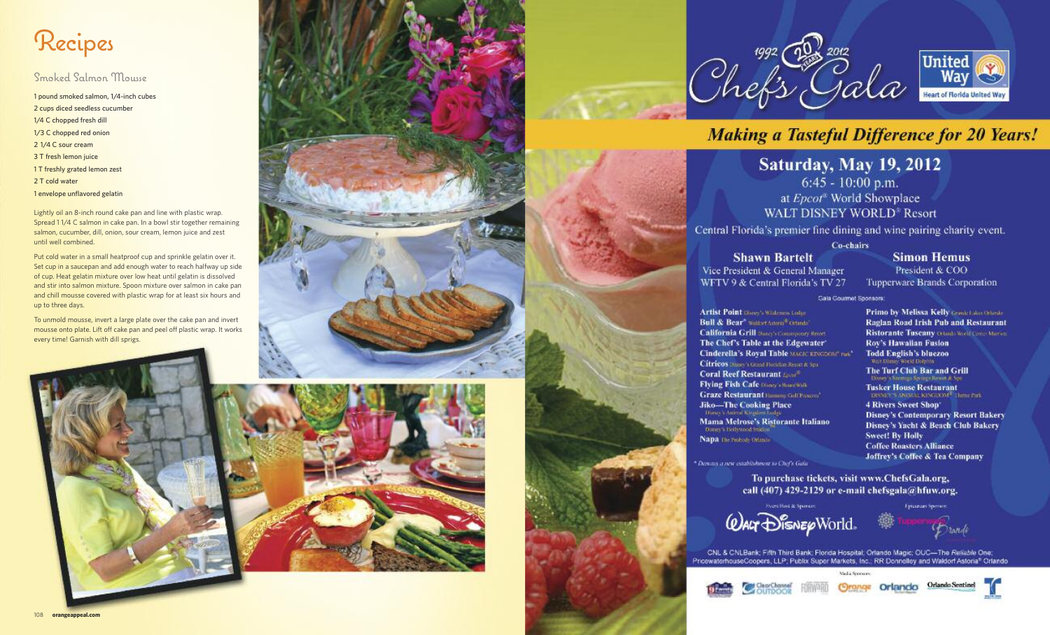# Recipes

## Smoked Salmon Mousse

 pound smoked salmon, 1/4-inch cubes cups diced seedless cucumber 1/4 C chopped fresh dill 1/3 C chopped red onion 1/4 C sour cream T fresh lemon juice T freshly grated lemon zest T cold water envelope unflavored gelatin

Lightly oil an 8-inch round cake pan and line with plastic wrap. Spread 1 1/4 C salmon in cake pan. In a bowl stir together remaining salmon, cucumber, dill, onion, sour cream, lemon juice and zest until well combined.

Put cold water in a small heatproof cup and sprinkle gelatin over it. Set cup in a saucepan and add enough water to reach halfway up side of cup. Heat gelatin mixture over low heat until gelatin is dissolved and stir into salmon mixture. Spoon mixture over salmon in cake pan and chill mousse covered with plastic wrap for at least six hours and up to three days.

To unmold mousse, invert a large plate over the cake pan and invert mousse onto plate. Lift off cake pan and peel off plastic wrap. It works every time! Garnish with dill sprigs.